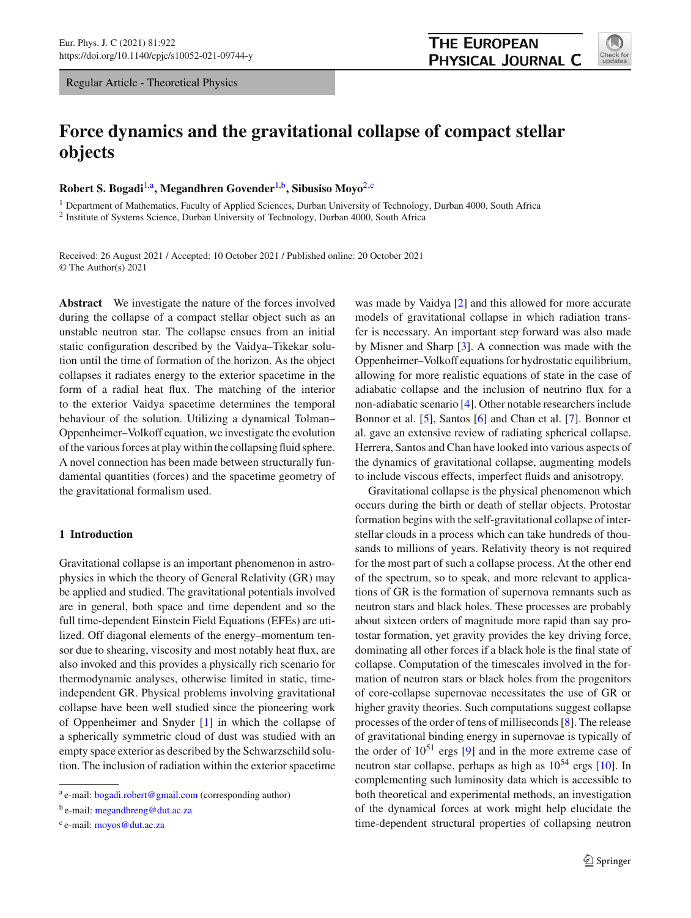Regular Article - Theoretical Physics

# **Force dynamics and the gravitational collapse of compact stellar objects**

## **Robert S. Bogadi**[1,](#page-0-0)a**, Megandhren Govender**[1,](#page-0-0)b**, Sibusiso Moyo**[2,](#page-0-0)c

<sup>1</sup> Department of Mathematics, Faculty of Applied Sciences, Durban University of Technology, Durban 4000, South Africa <sup>2</sup> Institute of Systems Science, Durban University of Technology, Durban 4000, South Africa

Received: 26 August 2021 / Accepted: 10 October 2021 / Published online: 20 October 2021 © The Author(s) 2021

**Abstract** We investigate the nature of the forces involved during the collapse of a compact stellar object such as an unstable neutron star. The collapse ensues from an initial static configuration described by the Vaidya–Tikekar solution until the time of formation of the horizon. As the object collapses it radiates energy to the exterior spacetime in the form of a radial heat flux. The matching of the interior to the exterior Vaidya spacetime determines the temporal behaviour of the solution. Utilizing a dynamical Tolman– Oppenheimer–Volkoff equation, we investigate the evolution of the various forces at play within the collapsing fluid sphere. A novel connection has been made between structurally fundamental quantities (forces) and the spacetime geometry of the gravitational formalism used.

## **1 Introduction**

Gravitational collapse is an important phenomenon in astrophysics in which the theory of General Relativity (GR) may be applied and studied. The gravitational potentials involved are in general, both space and time dependent and so the full time-dependent Einstein Field Equations (EFEs) are utilized. Off diagonal elements of the energy–momentum tensor due to shearing, viscosity and most notably heat flux, are also invoked and this provides a physically rich scenario for thermodynamic analyses, otherwise limited in static, timeindependent GR. Physical problems involving gravitational collapse have been well studied since the pioneering work of Oppenheimer and Snyder [\[1](#page-7-0)] in which the collapse of a spherically symmetric cloud of dust was studied with an empty space exterior as described by the Schwarzschild solution. The inclusion of radiation within the exterior spacetime

<sup>b</sup> e-mail: [megandhreng@dut.ac.za](mailto:megandhreng@dut.ac.za)

was made by Vaidya [\[2\]](#page-7-1) and this allowed for more accurate models of gravitational collapse in which radiation transfer is necessary. An important step forward was also made by Misner and Sharp [\[3](#page-7-2)]. A connection was made with the Oppenheimer–Volkoff equations for hydrostatic equilibrium, allowing for more realistic equations of state in the case of adiabatic collapse and the inclusion of neutrino flux for a non-adiabatic scenario [\[4](#page-7-3)]. Other notable researchers include Bonnor et al. [\[5](#page-7-4)], Santos [\[6\]](#page-7-5) and Chan et al. [\[7](#page-7-6)]. Bonnor et al. gave an extensive review of radiating spherical collapse. Herrera, Santos and Chan have looked into various aspects of the dynamics of gravitational collapse, augmenting models to include viscous effects, imperfect fluids and anisotropy.

Gravitational collapse is the physical phenomenon which occurs during the birth or death of stellar objects. Protostar formation begins with the self-gravitational collapse of interstellar clouds in a process which can take hundreds of thousands to millions of years. Relativity theory is not required for the most part of such a collapse process. At the other end of the spectrum, so to speak, and more relevant to applications of GR is the formation of supernova remnants such as neutron stars and black holes. These processes are probably about sixteen orders of magnitude more rapid than say protostar formation, yet gravity provides the key driving force, dominating all other forces if a black hole is the final state of collapse. Computation of the timescales involved in the formation of neutron stars or black holes from the progenitors of core-collapse supernovae necessitates the use of GR or higher gravity theories. Such computations suggest collapse processes of the order of tens of milliseconds [\[8\]](#page-7-7). The release of gravitational binding energy in supernovae is typically of the order of  $10^{51}$  ergs [\[9](#page-7-8)] and in the more extreme case of neutron star collapse, perhaps as high as  $10^{54}$  ergs [\[10](#page-7-9)]. In complementing such luminosity data which is accessible to both theoretical and experimental methods, an investigation of the dynamical forces at work might help elucidate the time-dependent structural properties of collapsing neutron

<span id="page-0-0"></span>

<sup>a</sup> e-mail: [bogadi.robert@gmail.com](mailto:bogadi.robert@gmail.com) (corresponding author)

<sup>c</sup> e-mail: [moyos@dut.ac.za](mailto:moyos@dut.ac.za)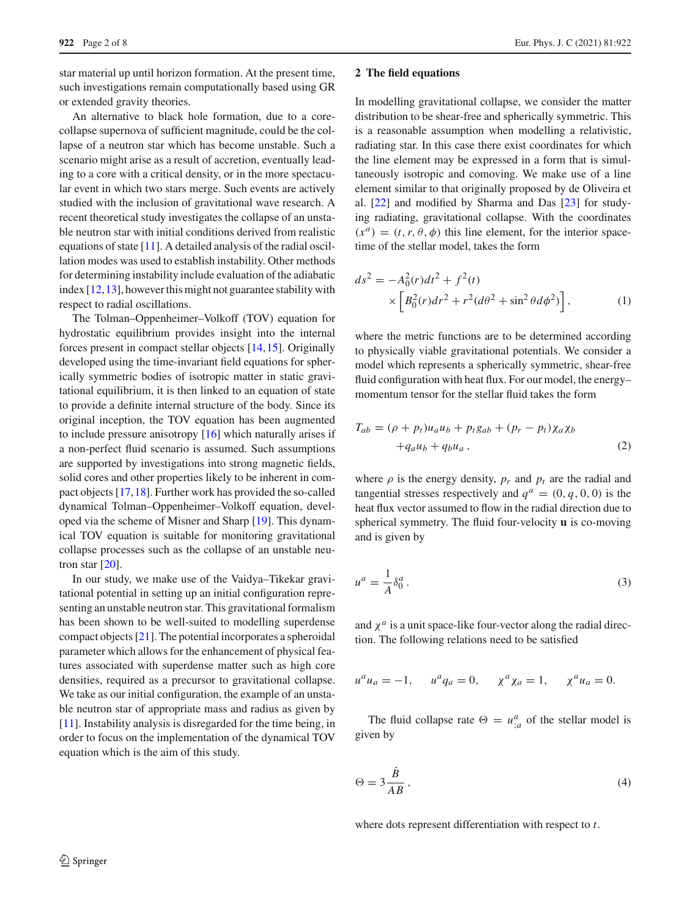star material up until horizon formation. At the present time, such investigations remain computationally based using GR or extended gravity theories.

An alternative to black hole formation, due to a corecollapse supernova of sufficient magnitude, could be the collapse of a neutron star which has become unstable. Such a scenario might arise as a result of accretion, eventually leading to a core with a critical density, or in the more spectacular event in which two stars merge. Such events are actively studied with the inclusion of gravitational wave research. A recent theoretical study investigates the collapse of an unstable neutron star with initial conditions derived from realistic equations of state [\[11\]](#page-7-10). A detailed analysis of the radial oscillation modes was used to establish instability. Other methods for determining instability include evaluation of the adiabatic index [\[12,](#page-7-11)[13\]](#page-7-12), however this might not guarantee stability with respect to radial oscillations.

The Tolman–Oppenheimer–Volkoff (TOV) equation for hydrostatic equilibrium provides insight into the internal forces present in compact stellar objects [\[14,](#page-7-13)[15\]](#page-7-14). Originally developed using the time-invariant field equations for spherically symmetric bodies of isotropic matter in static gravitational equilibrium, it is then linked to an equation of state to provide a definite internal structure of the body. Since its original inception, the TOV equation has been augmented to include pressure anisotropy [\[16\]](#page-7-15) which naturally arises if a non-perfect fluid scenario is assumed. Such assumptions are supported by investigations into strong magnetic fields, solid cores and other properties likely to be inherent in compact objects [\[17](#page-7-16)[,18](#page-7-17)]. Further work has provided the so-called dynamical Tolman–Oppenheimer–Volkoff equation, developed via the scheme of Misner and Sharp [\[19\]](#page-7-18). This dynamical TOV equation is suitable for monitoring gravitational collapse processes such as the collapse of an unstable neutron star [\[20\]](#page-7-19).

In our study, we make use of the Vaidya–Tikekar gravitational potential in setting up an initial configuration representing an unstable neutron star. This gravitational formalism has been shown to be well-suited to modelling superdense compact objects [\[21\]](#page-7-20). The potential incorporates a spheroidal parameter which allows for the enhancement of physical features associated with superdense matter such as high core densities, required as a precursor to gravitational collapse. We take as our initial configuration, the example of an unstable neutron star of appropriate mass and radius as given by [\[11](#page-7-10)]. Instability analysis is disregarded for the time being, in order to focus on the implementation of the dynamical TOV equation which is the aim of this study.

#### **2 The field equations**

In modelling gravitational collapse, we consider the matter distribution to be shear-free and spherically symmetric. This is a reasonable assumption when modelling a relativistic, radiating star. In this case there exist coordinates for which the line element may be expressed in a form that is simultaneously isotropic and comoving. We make use of a line element similar to that originally proposed by de Oliveira et al. [\[22\]](#page-7-21) and modified by Sharma and Das [\[23\]](#page-7-22) for studying radiating, gravitational collapse. With the coordinates  $(x^a) = (t, r, \theta, \phi)$  this line element, for the interior spacetime of the stellar model, takes the form

<span id="page-1-0"></span>
$$
ds^{2} = -A_{0}^{2}(r)dt^{2} + f^{2}(t)
$$
  
 
$$
\times \left[ B_{0}^{2}(r)dr^{2} + r^{2}(d\theta^{2} + \sin^{2}\theta d\phi^{2}) \right],
$$
 (1)

where the metric functions are to be determined according to physically viable gravitational potentials. We consider a model which represents a spherically symmetric, shear-free fluid configuration with heat flux. For our model, the energy– momentum tensor for the stellar fluid takes the form

$$
T_{ab} = (\rho + p_t)u_a u_b + p_t g_{ab} + (p_r - p_t) \chi_a \chi_b
$$
  
+ $q_a u_b + q_b u_a$ , (2)

where  $\rho$  is the energy density,  $p_r$  and  $p_t$  are the radial and tangential stresses respectively and  $q^a = (0, q, 0, 0)$  is the heat flux vector assumed to flow in the radial direction due to spherical symmetry. The fluid four-velocity **u** is co-moving and is given by

$$
u^a = \frac{1}{A} \delta_0^a. \tag{3}
$$

and  $\chi^a$  is a unit space-like four-vector along the radial direction. The following relations need to be satisfied

$$
u^{a}u_{a} = -1
$$
,  $u^{a}q_{a} = 0$ ,  $\chi^{a}\chi_{a} = 1$ ,  $\chi^{a}u_{a} = 0$ .

The fluid collapse rate  $\Theta = u_{;a}^a$  of the stellar model is given by

$$
\Theta = 3 \frac{B}{AB},\tag{4}
$$

where dots represent differentiation with respect to *t*.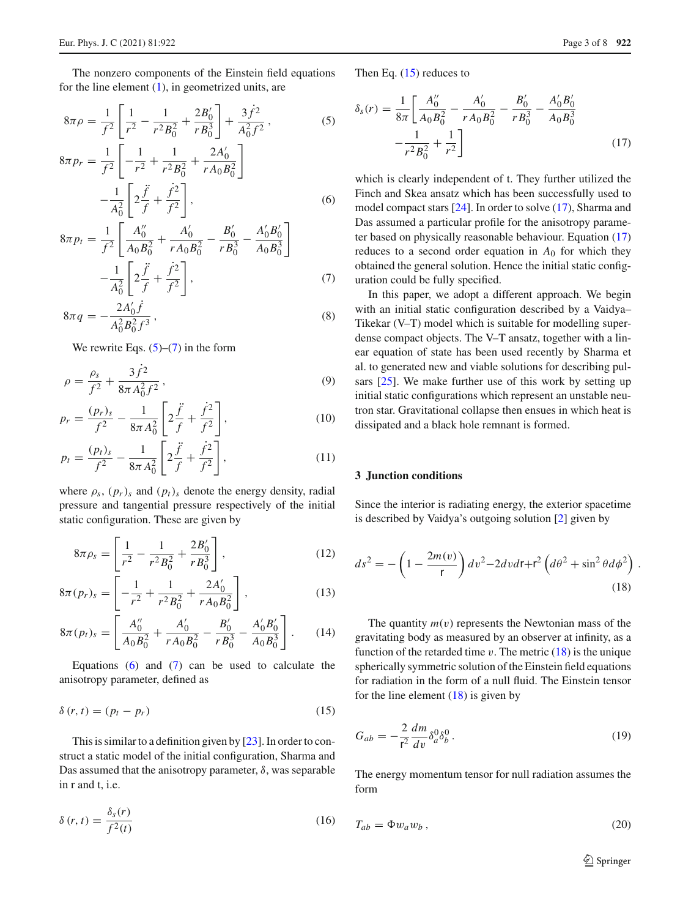The nonzero components of the Einstein field equations for the line element [\(1\)](#page-1-0), in geometrized units, are

<span id="page-2-0"></span>
$$
8\pi \rho = \frac{1}{f^2} \left[ \frac{1}{r^2} - \frac{1}{r^2 B_0^2} + \frac{2B_0'}{r B_0^3} \right] + \frac{3\dot{f}^2}{A_0^2 f^2},\tag{5}
$$

$$
8\pi p_r = \frac{1}{f^2} \left[ -\frac{1}{r^2} + \frac{1}{r^2 B_0^2} + \frac{2A_0'}{r A_0 B_0^2} \right] - \frac{1}{A_0^2} \left[ 2\frac{\ddot{f}}{f} + \frac{\dot{f}^2}{f^2} \right],
$$
 (6)

$$
8\pi p_t = \frac{1}{f^2} \left[ \frac{A_0''}{A_0 B_0^2} + \frac{A_0'}{r A_0 B_0^2} - \frac{B_0'}{r B_0^3} - \frac{A_0' B_0'}{A_0 B_0^3} \right] - \frac{1}{A_0^2} \left[ 2\frac{\ddot{f}}{f} + \frac{\dot{f}^2}{f^2} \right],
$$
 (7)

$$
8\pi q = -\frac{2A_0'\hat{f}}{A_0^2B_0^2f^3},\tag{8}
$$

We rewrite Eqs.  $(5)$ – $(7)$  in the form

<span id="page-2-6"></span>
$$
\rho = \frac{\rho_s}{f^2} + \frac{3f^2}{8\pi A_0^2 f^2},\tag{9}
$$

$$
p_r = \frac{(p_r)_s}{f^2} - \frac{1}{8\pi A_0^2} \left[ 2\frac{\ddot{f}}{f} + \frac{\dot{f}^2}{f^2} \right],\tag{10}
$$

$$
p_t = \frac{(p_t)_s}{f^2} - \frac{1}{8\pi A_0^2} \left[ 2\frac{\ddot{f}}{f} + \frac{\dot{f}^2}{f^2} \right],\tag{11}
$$

where  $\rho_s$ ,  $(p_r)_s$  and  $(p_t)_s$  denote the energy density, radial pressure and tangential pressure respectively of the initial static configuration. These are given by

$$
8\pi \rho_s = \left[\frac{1}{r^2} - \frac{1}{r^2 B_0^2} + \frac{2B_0'}{r B_0^3}\right],\tag{12}
$$

$$
8\pi(p_r)_s = \left[ -\frac{1}{r^2} + \frac{1}{r^2 B_0^2} + \frac{2A_0'}{r A_0 B_0^2} \right],
$$
 (13)

$$
8\pi (p_t)_s = \left[ \frac{A_0''}{A_0 B_0^2} + \frac{A_0'}{r A_0 B_0^2} - \frac{B_0'}{r B_0^3} - \frac{A_0' B_0'}{A_0 B_0^3} \right].
$$
 (14)

Equations  $(6)$  and  $(7)$  can be used to calculate the anisotropy parameter, defined as

$$
\delta(r, t) = (p_t - p_r) \tag{15}
$$

This is similar to a definition given by [\[23](#page-7-22)]. In order to construct a static model of the initial configuration, Sharma and Das assumed that the anisotropy parameter,  $\delta$ , was separable in r and t, i.e.

$$
\delta(r,t) = \frac{\delta_s(r)}{f^2(t)}\tag{16}
$$

Then Eq. [\(15\)](#page-2-1) reduces to

<span id="page-2-2"></span>
$$
\delta_s(r) = \frac{1}{8\pi} \left[ \frac{A_0''}{A_0 B_0^2} - \frac{A_0'}{r A_0 B_0^2} - \frac{B_0'}{r B_0^3} - \frac{A_0' B_0'}{A_0 B_0^3} - \frac{1}{r^2 B_0^2} + \frac{1}{r^2} \right]
$$
(17)

which is clearly independent of t. They further utilized the Finch and Skea ansatz which has been successfully used to model compact stars [\[24](#page-7-23)]. In order to solve [\(17\)](#page-2-2), Sharma and Das assumed a particular profile for the anisotropy parameter based on physically reasonable behaviour. Equation [\(17\)](#page-2-2) reduces to a second order equation in  $A_0$  for which they obtained the general solution. Hence the initial static configuration could be fully specified.

In this paper, we adopt a different approach. We begin with an initial static configuration described by a Vaidya– Tikekar (V–T) model which is suitable for modelling superdense compact objects. The V–T ansatz, together with a linear equation of state has been used recently by Sharma et al. to generated new and viable solutions for describing pulsars [\[25](#page-7-24)]. We make further use of this work by setting up initial static configurations which represent an unstable neutron star. Gravitational collapse then ensues in which heat is dissipated and a black hole remnant is formed.

## **3 Junction conditions**

<span id="page-2-3"></span>Since the interior is radiating energy, the exterior spacetime is described by Vaidya's outgoing solution [\[2](#page-7-1)] given by

$$
ds^{2} = -\left(1 - \frac{2m(v)}{r}\right)dv^{2} - 2dvdr + r^{2}\left(d\theta^{2} + \sin^{2}\theta d\phi^{2}\right).
$$
\n(18)

<span id="page-2-1"></span>The quantity  $m(v)$  represents the Newtonian mass of the gravitating body as measured by an observer at infinity, as a function of the retarded time  $v$ . The metric  $(18)$  is the unique spherically symmetric solution of the Einstein field equations for radiation in the form of a null fluid. The Einstein tensor for the line element  $(18)$  is given by

<span id="page-2-4"></span>
$$
G_{ab} = -\frac{2}{r^2} \frac{dm}{dv} \delta_a^0 \delta_b^0.
$$
 (19)

<span id="page-2-5"></span>The energy momentum tensor for null radiation assumes the form

$$
T_{ab} = \Phi w_a w_b , \qquad (20)
$$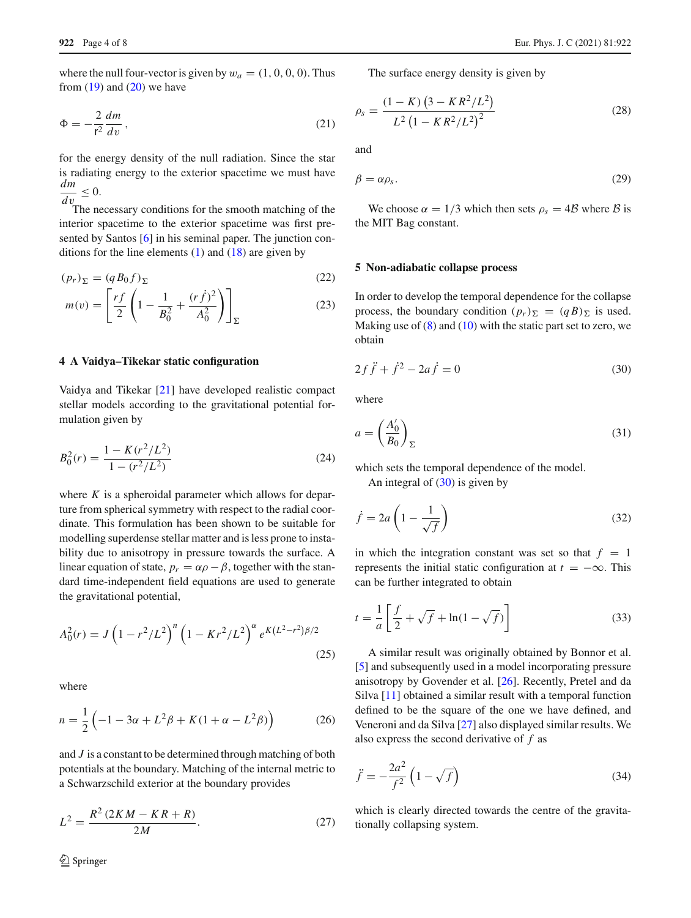where the null four-vector is given by  $w_a = (1, 0, 0, 0)$ . Thus from  $(19)$  and  $(20)$  we have

$$
\Phi = -\frac{2}{r^2} \frac{dm}{dv},\tag{21}
$$

for the energy density of the null radiation. Since the star is radiating energy to the exterior spacetime we must have *dm d*v  $< 0.$ 

The necessary conditions for the smooth matching of the interior spacetime to the exterior spacetime was first pre-sented by Santos [\[6\]](#page-7-5) in his seminal paper. The junction conditions for the line elements  $(1)$  and  $(18)$  are given by

<span id="page-3-1"></span>
$$
(p_r)_{\Sigma} = (q B_0 f)_{\Sigma} \tag{22}
$$

$$
m(v) = \left[\frac{rf}{2}\left(1 - \frac{1}{B_0^2} + \frac{(r\dot{f})^2}{A_0^2}\right)\right]_{\Sigma}
$$
 (23)

## **4 A Vaidya–Tikekar static configuration**

Vaidya and Tikekar [\[21](#page-7-20)] have developed realistic compact stellar models according to the gravitational potential formulation given by

$$
B_0^2(r) = \frac{1 - K(r^2/L^2)}{1 - (r^2/L^2)}
$$
\n(24)

where *K* is a spheroidal parameter which allows for departure from spherical symmetry with respect to the radial coordinate. This formulation has been shown to be suitable for modelling superdense stellar matter and is less prone to instability due to anisotropy in pressure towards the surface. A linear equation of state,  $p_r = \alpha \rho - \beta$ , together with the standard time-independent field equations are used to generate the gravitational potential,

$$
A_0^2(r) = J \left( 1 - r^2 / L^2 \right)^n \left( 1 - Kr^2 / L^2 \right)^{\alpha} e^{K (L^2 - r^2) \beta / 2}
$$
\n(25)

where

$$
n = \frac{1}{2} \left( -1 - 3\alpha + L^2 \beta + K(1 + \alpha - L^2 \beta) \right)
$$
 (26)

and *J* is a constant to be determined through matching of both potentials at the boundary. Matching of the internal metric to a Schwarzschild exterior at the boundary provides

$$
L^{2} = \frac{R^{2} (2KM - KR + R)}{2M}.
$$
 (27)

 $\hat{Z}$  Springer

The surface energy density is given by

$$
\rho_s = \frac{(1 - K) (3 - K R^2 / L^2)}{L^2 (1 - K R^2 / L^2)^2}
$$
\n(28)

and

$$
\beta = \alpha \rho_s. \tag{29}
$$

We choose  $\alpha = 1/3$  which then sets  $\rho_s = 4B$  where B is the MIT Bag constant.

#### **5 Non-adiabatic collapse process**

<span id="page-3-0"></span>In order to develop the temporal dependence for the collapse process, the boundary condition  $(p_r)_{\Sigma} = (qB)_{\Sigma}$  is used. Making use of  $(8)$  and  $(10)$  with the static part set to zero, we obtain

$$
2f\ddot{f} + \dot{f}^2 - 2a\dot{f} = 0\tag{30}
$$

where

$$
a = \left(\frac{A_0'}{B_0}\right)_{\Sigma} \tag{31}
$$

which sets the temporal dependence of the model.

An integral of  $(30)$  is given by

$$
\dot{f} = 2a \left( 1 - \frac{1}{\sqrt{f}} \right) \tag{32}
$$

in which the integration constant was set so that  $f = 1$ represents the initial static configuration at  $t = -\infty$ . This can be further integrated to obtain

$$
t = \frac{1}{a} \left[ \frac{f}{2} + \sqrt{f} + \ln(1 - \sqrt{f}) \right]
$$
 (33)

A similar result was originally obtained by Bonnor et al. [\[5](#page-7-4)] and subsequently used in a model incorporating pressure anisotropy by Govender et al. [\[26](#page-7-25)]. Recently, Pretel and da Silva [\[11](#page-7-10)] obtained a similar result with a temporal function defined to be the square of the one we have defined, and Veneroni and da Silva [\[27](#page-7-26)] also displayed similar results. We also express the second derivative of *f* as

$$
\ddot{f} = -\frac{2a^2}{f^2} \left( 1 - \sqrt{f} \right) \tag{34}
$$

which is clearly directed towards the centre of the gravitationally collapsing system.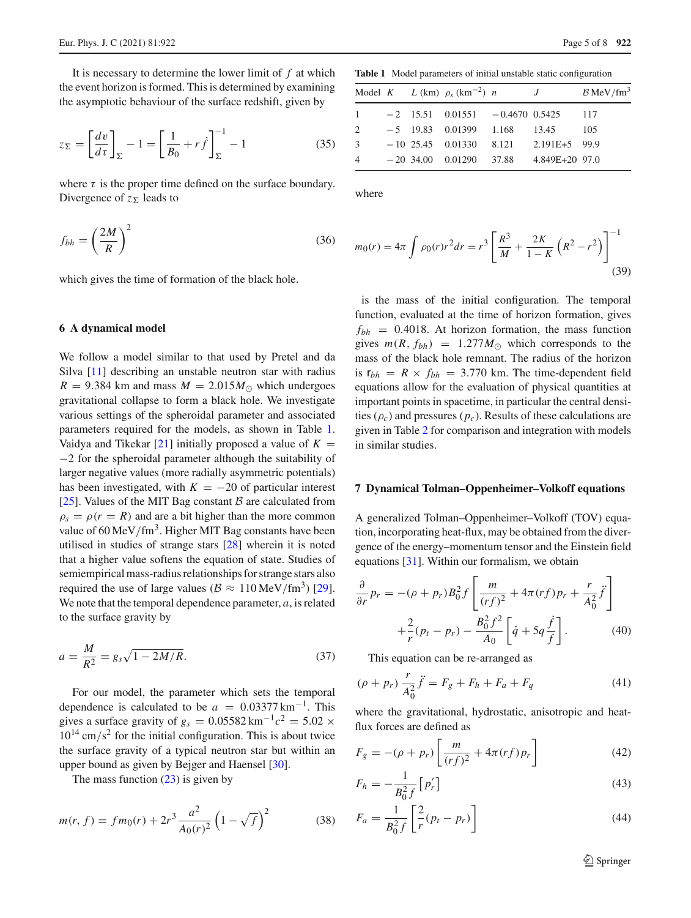It is necessary to determine the lower limit of *f* at which the event horizon is formed. This is determined by examining the asymptotic behaviour of the surface redshift, given by

$$
z_{\Sigma} = \left[\frac{dv}{d\tau}\right]_{\Sigma} - 1 = \left[\frac{1}{B_0} + r\dot{f}\right]_{\Sigma}^{-1} - 1\tag{35}
$$

where  $\tau$  is the proper time defined on the surface boundary. Divergence of  $z_{\Sigma}$  leads to

$$
f_{bh} = \left(\frac{2M}{R}\right)^2\tag{36}
$$

which gives the time of formation of the black hole.

#### **6 A dynamical model**

We follow a model similar to that used by Pretel and da Silva [\[11](#page-7-10)] describing an unstable neutron star with radius  $R = 9.384$  km and mass  $M = 2.015 M_{\odot}$  which undergoes gravitational collapse to form a black hole. We investigate various settings of the spheroidal parameter and associated parameters required for the models, as shown in Table [1.](#page-4-0) Vaidya and Tikekar  $[21]$  initially proposed a value of  $K =$ −2 for the spheroidal parameter although the suitability of larger negative values (more radially asymmetric potentials) has been investigated, with  $K = -20$  of particular interest [\[25](#page-7-24)]. Values of the MIT Bag constant  $\beta$  are calculated from  $\rho_s = \rho(r = R)$  and are a bit higher than the more common value of  $60 \,\mathrm{MeV}/\mathrm{fm}^3$ . Higher MIT Bag constants have been utilised in studies of strange stars [\[28](#page-7-27)] wherein it is noted that a higher value softens the equation of state. Studies of semiempirical mass-radius relationships for strange stars also required the use of large values ( $\beta \approx 110 \,\text{MeV}/\text{fm}^3$ ) [\[29](#page-7-28)]. We note that the temporal dependence parameter, *a*, is related to the surface gravity by

$$
a = \frac{M}{R^2} = g_s \sqrt{1 - 2M/R}.
$$
 (37)

For our model, the parameter which sets the temporal dependence is calculated to be  $a = 0.03377 \text{ km}^{-1}$ . This gives a surface gravity of  $g_s = 0.05582 \text{ km}^{-1}c^2 = 5.02 \times$  $10^{14}$  cm/s<sup>2</sup> for the initial configuration. This is about twice the surface gravity of a typical neutron star but within an upper bound as given by Bejger and Haensel [\[30\]](#page-7-29).

The mass function  $(23)$  is given by

$$
m(r, f) = fm_0(r) + 2r^3 \frac{a^2}{A_0(r)^2} \left(1 - \sqrt{f}\right)^2 \tag{38}
$$

<span id="page-4-0"></span>**Table 1** Model parameters of initial unstable static configuration

|                |  | Model K L (km) $\rho_s$ (km <sup>-2</sup> ) n | J                                        | $B$ MeV/fm <sup>3</sup> |
|----------------|--|-----------------------------------------------|------------------------------------------|-------------------------|
|                |  | $-2$ 15.51 0.01551 $-0.4670$ 0.5425           |                                          | 117                     |
| 2              |  | $-5$ 19.83 0.01399 1.168 13.45                |                                          | - 105                   |
| 3              |  |                                               | $-10$ 25.45 0.01330 8.121 2.191E+5 99.9  |                         |
| $\overline{4}$ |  |                                               | $-20$ 34.00 0.01290 37.88 4.849E+20 97.0 |                         |

where

$$
m_0(r) = 4\pi \int \rho_0(r)r^2 dr = r^3 \left[ \frac{R^3}{M} + \frac{2K}{1-K} \left( R^2 - r^2 \right) \right]^{-1}
$$
\n(39)

is the mass of the initial configuration. The temporal function, evaluated at the time of horizon formation, gives  $f_{bh}$  = 0.4018. At horizon formation, the mass function gives  $m(R, f_{bh}) = 1.277 M_{\odot}$  which corresponds to the mass of the black hole remnant. The radius of the horizon is  $r_{bh} = R \times f_{bh} = 3.770$  km. The time-dependent field equations allow for the evaluation of physical quantities at important points in spacetime, in particular the central densities  $(\rho_c)$  and pressures  $(p_c)$ . Results of these calculations are given in Table [2](#page-5-0) for comparison and integration with models in similar studies.

#### **7 Dynamical Tolman–Oppenheimer–Volkoff equations**

A generalized Tolman–Oppenheimer–Volkoff (TOV) equation, incorporating heat-flux, may be obtained from the divergence of the energy–momentum tensor and the Einstein field equations [\[31](#page-7-30)]. Within our formalism, we obtain

$$
\frac{\partial}{\partial r} p_r = -(\rho + p_r) B_0^2 f \left[ \frac{m}{(rf)^2} + 4\pi (rf) p_r + \frac{r}{A_0^2} \ddot{f} \right] \n+ \frac{2}{r} (p_t - p_r) - \frac{B_0^2 f^2}{A_0} \left[ \dot{q} + 5q \frac{\dot{f}}{f} \right].
$$
\n(40)

This equation can be re-arranged as

<span id="page-4-1"></span>
$$
(\rho + p_r) \frac{r}{A_0^2} \ddot{f} = F_g + F_h + F_a + F_q \tag{41}
$$

where the gravitational, hydrostatic, anisotropic and heatflux forces are defined as

$$
F_g = -(\rho + p_r) \left[ \frac{m}{(rf)^2} + 4\pi (rf) p_r \right]
$$
 (42)

$$
F_h = -\frac{1}{B_0^2 f} \left[ p'_r \right] \tag{43}
$$

$$
F_a = \frac{1}{B_0^2 f} \left[ \frac{2}{r} (p_t - p_r) \right]
$$
 (44)

<sup>2</sup> Springer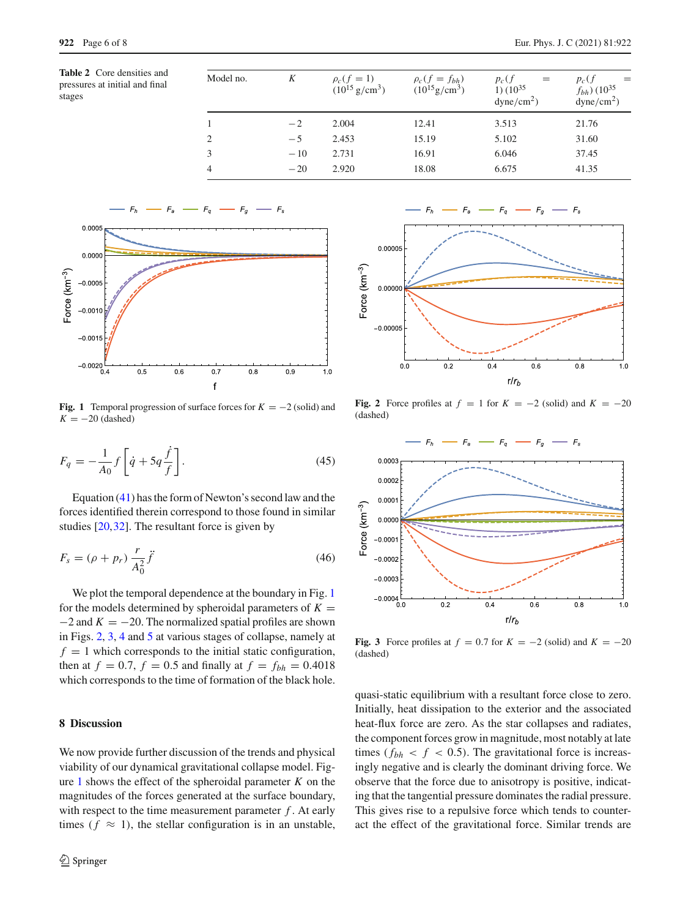<span id="page-5-0"></span>**Table 2** Core densities and pressures at initial and final

| pressures at initial and inne |  |  |
|-------------------------------|--|--|
| stages                        |  |  |

| $f_{bh}$ ) (10 <sup>35</sup><br>$dyne/cm2$ ) |
|----------------------------------------------|
| 21.76                                        |
| 31.60                                        |
| 37.45                                        |
|                                              |
|                                              |



<span id="page-5-1"></span>**Fig. 1** Temporal progression of surface forces for  $K = -2$  (solid) and  $K = -20$  (dashed)

$$
F_q = -\frac{1}{A_0} f \left[ \dot{q} + 5q \frac{\dot{f}}{f} \right].
$$
\n(45)

Equation [\(41\)](#page-4-1) has the form of Newton's second law and the forces identified therein correspond to those found in similar studies [\[20](#page-7-19),[32\]](#page-7-31). The resultant force is given by

$$
F_s = (\rho + p_r) \frac{r}{A_0^2} \ddot{f}
$$
\n
$$
\tag{46}
$$

We plot the temporal dependence at the boundary in Fig. [1](#page-5-1) for the models determined by spheroidal parameters of  $K =$  $-2$  and  $K = -20$ . The normalized spatial profiles are shown in Figs. [2,](#page-5-2) [3,](#page-5-3) [4](#page-6-0) and [5](#page-6-1) at various stages of collapse, namely at  $f = 1$  which corresponds to the initial static configuration, then at  $f = 0.7$ ,  $f = 0.5$  and finally at  $f = f_{bh} = 0.4018$ which corresponds to the time of formation of the black hole.

## **8 Discussion**

We now provide further discussion of the trends and physical viability of our dynamical gravitational collapse model. Fig-ure [1](#page-5-1) shows the effect of the spheroidal parameter  $K$  on the magnitudes of the forces generated at the surface boundary, with respect to the time measurement parameter *f* . At early times ( $f \approx 1$ ), the stellar configuration is in an unstable,



<span id="page-5-2"></span>**Fig. 2** Force profiles at  $f = 1$  for  $K = -2$  (solid) and  $K = -20$ (dashed)



<span id="page-5-3"></span>**Fig. 3** Force profiles at  $f = 0.7$  for  $K = -2$  (solid) and  $K = -20$ (dashed)

quasi-static equilibrium with a resultant force close to zero. Initially, heat dissipation to the exterior and the associated heat-flux force are zero. As the star collapses and radiates, the component forces grow in magnitude, most notably at late times ( $f_{bh} < f < 0.5$ ). The gravitational force is increasingly negative and is clearly the dominant driving force. We observe that the force due to anisotropy is positive, indicating that the tangential pressure dominates the radial pressure. This gives rise to a repulsive force which tends to counteract the effect of the gravitational force. Similar trends are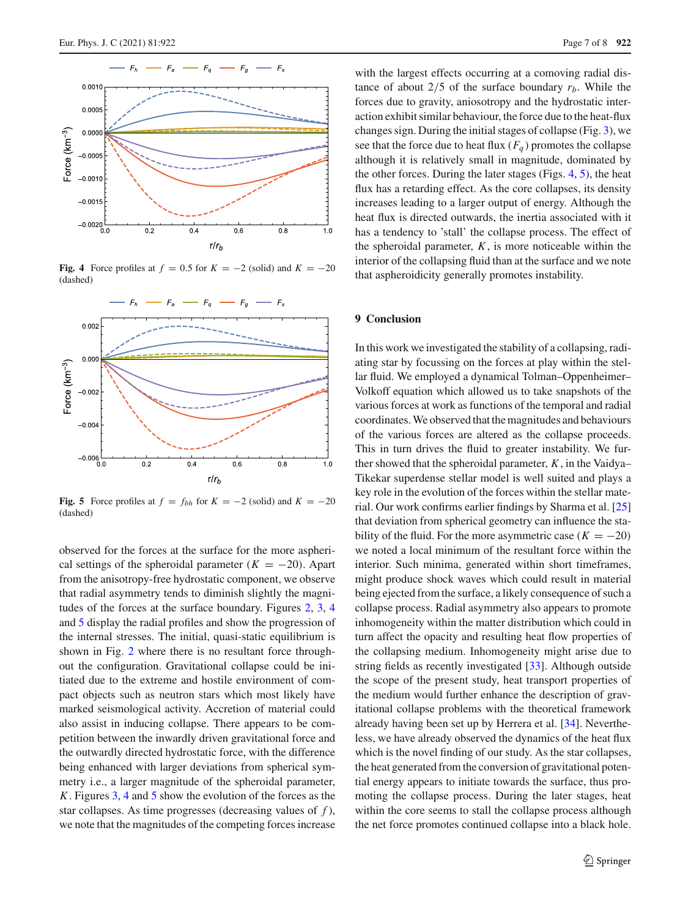

<span id="page-6-0"></span>**Fig. 4** Force profiles at  $f = 0.5$  for  $K = -2$  (solid) and  $K = -20$ (dashed)



<span id="page-6-1"></span>**Fig. 5** Force profiles at  $f = f_{bh}$  for  $K = -2$  (solid) and  $K = -20$ (dashed)

observed for the forces at the surface for the more aspherical settings of the spheroidal parameter  $(K = -20)$ . Apart from the anisotropy-free hydrostatic component, we observe that radial asymmetry tends to diminish slightly the magnitudes of the forces at the surface boundary. Figures [2,](#page-5-2) [3,](#page-5-3) [4](#page-6-0) and [5](#page-6-1) display the radial profiles and show the progression of the internal stresses. The initial, quasi-static equilibrium is shown in Fig. [2](#page-5-2) where there is no resultant force throughout the configuration. Gravitational collapse could be initiated due to the extreme and hostile environment of compact objects such as neutron stars which most likely have marked seismological activity. Accretion of material could also assist in inducing collapse. There appears to be competition between the inwardly driven gravitational force and the outwardly directed hydrostatic force, with the difference being enhanced with larger deviations from spherical symmetry i.e., a larger magnitude of the spheroidal parameter, *K*. Figures [3,](#page-5-3) [4](#page-6-0) and [5](#page-6-1) show the evolution of the forces as the star collapses. As time progresses (decreasing values of *f* ), we note that the magnitudes of the competing forces increase

with the largest effects occurring at a comoving radial distance of about  $2/5$  of the surface boundary  $r_b$ . While the forces due to gravity, aniosotropy and the hydrostatic interaction exhibit similar behaviour, the force due to the heat-flux changes sign. During the initial stages of collapse (Fig. [3\)](#page-5-3), we see that the force due to heat flux  $(F_q)$  promotes the collapse although it is relatively small in magnitude, dominated by the other forces. During the later stages (Figs. [4,](#page-6-0) [5\)](#page-6-1), the heat flux has a retarding effect. As the core collapses, its density increases leading to a larger output of energy. Although the heat flux is directed outwards, the inertia associated with it has a tendency to 'stall' the collapse process. The effect of the spheroidal parameter,  $K$ , is more noticeable within the interior of the collapsing fluid than at the surface and we note that aspheroidicity generally promotes instability.

### **9 Conclusion**

In this work we investigated the stability of a collapsing, radiating star by focussing on the forces at play within the stellar fluid. We employed a dynamical Tolman–Oppenheimer– Volkoff equation which allowed us to take snapshots of the various forces at work as functions of the temporal and radial coordinates. We observed that the magnitudes and behaviours of the various forces are altered as the collapse proceeds. This in turn drives the fluid to greater instability. We further showed that the spheroidal parameter, *K*, in the Vaidya– Tikekar superdense stellar model is well suited and plays a key role in the evolution of the forces within the stellar material. Our work confirms earlier findings by Sharma et al. [\[25\]](#page-7-24) that deviation from spherical geometry can influence the stability of the fluid. For the more asymmetric case  $(K = -20)$ we noted a local minimum of the resultant force within the interior. Such minima, generated within short timeframes, might produce shock waves which could result in material being ejected from the surface, a likely consequence of such a collapse process. Radial asymmetry also appears to promote inhomogeneity within the matter distribution which could in turn affect the opacity and resulting heat flow properties of the collapsing medium. Inhomogeneity might arise due to string fields as recently investigated [\[33](#page-7-32)]. Although outside the scope of the present study, heat transport properties of the medium would further enhance the description of gravitational collapse problems with the theoretical framework already having been set up by Herrera et al. [\[34](#page-7-33)]. Nevertheless, we have already observed the dynamics of the heat flux which is the novel finding of our study. As the star collapses, the heat generated from the conversion of gravitational potential energy appears to initiate towards the surface, thus promoting the collapse process. During the later stages, heat within the core seems to stall the collapse process although the net force promotes continued collapse into a black hole.